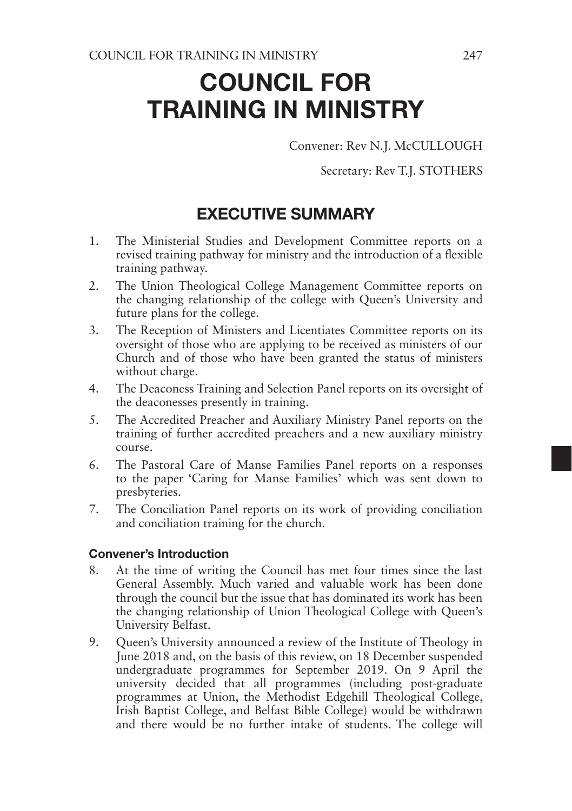# COUNCIL FOR TRAINING IN MINISTRY

Convener: Rev N.J. McCULLOUGH

Secretary: Rev T.J. STOTHERS

## EXECUTIVE SUMMARY

- 1. The Ministerial Studies and Development Committee reports on a revised training pathway for ministry and the introduction of a flexible training pathway.
- 2. The Union Theological College Management Committee reports on the changing relationship of the college with Queen's University and future plans for the college.
- 3. The Reception of Ministers and Licentiates Committee reports on its oversight of those who are applying to be received as ministers of our Church and of those who have been granted the status of ministers without charge.
- 4. The Deaconess Training and Selection Panel reports on its oversight of the deaconesses presently in training.
- 5. The Accredited Preacher and Auxiliary Ministry Panel reports on the training of further accredited preachers and a new auxiliary ministry course.
- 6. The Pastoral Care of Manse Families Panel reports on a responses to the paper 'Caring for Manse Families' which was sent down to presbyteries.
- 7. The Conciliation Panel reports on its work of providing conciliation and conciliation training for the church.

## Convener's Introduction

- 8. At the time of writing the Council has met four times since the last General Assembly. Much varied and valuable work has been done through the council but the issue that has dominated its work has been the changing relationship of Union Theological College with Queen's University Belfast.
- 9. Queen's University announced a review of the Institute of Theology in June 2018 and, on the basis of this review, on 18 December suspended undergraduate programmes for September 2019. On 9 April the university decided that all programmes (including post-graduate programmes at Union, the Methodist Edgehill Theological College, Irish Baptist College, and Belfast Bible College) would be withdrawn and there would be no further intake of students. The college will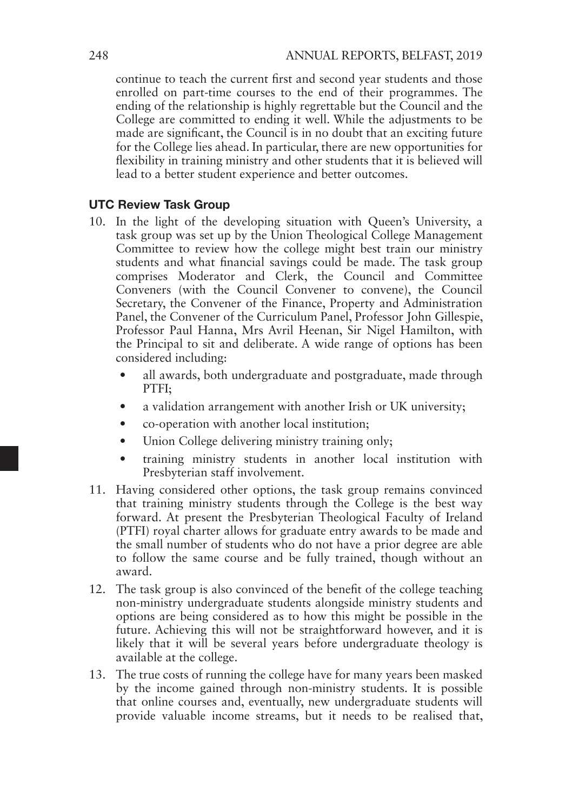continue to teach the current first and second year students and those enrolled on part-time courses to the end of their programmes. The ending of the relationship is highly regrettable but the Council and the College are committed to ending it well. While the adjustments to be made are significant, the Council is in no doubt that an exciting future for the College lies ahead. In particular, there are new opportunities for flexibility in training ministry and other students that it is believed will lead to a better student experience and better outcomes.

### UTC Review Task Group

- 10. In the light of the developing situation with Queen's University, a task group was set up by the Union Theological College Management Committee to review how the college might best train our ministry students and what financial savings could be made. The task group comprises Moderator and Clerk, the Council and Committee Conveners (with the Council Convener to convene), the Council Secretary, the Convener of the Finance, Property and Administration Panel, the Convener of the Curriculum Panel, Professor John Gillespie, Professor Paul Hanna, Mrs Avril Heenan, Sir Nigel Hamilton, with the Principal to sit and deliberate. A wide range of options has been considered including:
	- all awards, both undergraduate and postgraduate, made through PTFI;
	- a validation arrangement with another Irish or UK university;
	- co-operation with another local institution;
	- Union College delivering ministry training only;
	- training ministry students in another local institution with Presbyterian staff involvement.
- 11. Having considered other options, the task group remains convinced that training ministry students through the College is the best way forward. At present the Presbyterian Theological Faculty of Ireland (PTFI) royal charter allows for graduate entry awards to be made and the small number of students who do not have a prior degree are able to follow the same course and be fully trained, though without an award.
- 12. The task group is also convinced of the benefit of the college teaching non-ministry undergraduate students alongside ministry students and options are being considered as to how this might be possible in the future. Achieving this will not be straightforward however, and it is likely that it will be several years before undergraduate theology is available at the college.
- 13. The true costs of running the college have for many years been masked by the income gained through non-ministry students. It is possible that online courses and, eventually, new undergraduate students will provide valuable income streams, but it needs to be realised that,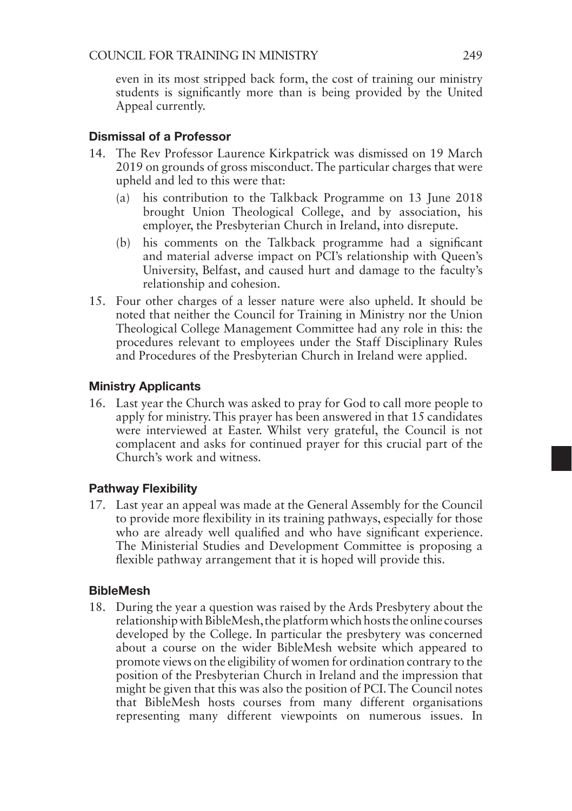even in its most stripped back form, the cost of training our ministry students is significantly more than is being provided by the United Appeal currently.

## Dismissal of a Professor

- 14. The Rev Professor Laurence Kirkpatrick was dismissed on 19 March 2019 on grounds of gross misconduct. The particular charges that were upheld and led to this were that:
	- (a) his contribution to the Talkback Programme on 13 June 2018 brought Union Theological College, and by association, his employer, the Presbyterian Church in Ireland, into disrepute.
	- (b) his comments on the Talkback programme had a significant and material adverse impact on PCI's relationship with Queen's University, Belfast, and caused hurt and damage to the faculty's relationship and cohesion.
- 15. Four other charges of a lesser nature were also upheld. It should be noted that neither the Council for Training in Ministry nor the Union Theological College Management Committee had any role in this: the procedures relevant to employees under the Staff Disciplinary Rules and Procedures of the Presbyterian Church in Ireland were applied.

## Ministry Applicants

16. Last year the Church was asked to pray for God to call more people to apply for ministry. This prayer has been answered in that 15 candidates were interviewed at Easter. Whilst very grateful, the Council is not complacent and asks for continued prayer for this crucial part of the Church's work and witness.

## Pathway Flexibility

17. Last year an appeal was made at the General Assembly for the Council to provide more flexibility in its training pathways, especially for those who are already well qualified and who have significant experience. The Ministerial Studies and Development Committee is proposing a flexible pathway arrangement that it is hoped will provide this.

## BibleMesh

18. During the year a question was raised by the Ards Presbytery about the relationship with BibleMesh, the platform which hosts the online courses developed by the College. In particular the presbytery was concerned about a course on the wider BibleMesh website which appeared to promote views on the eligibility of women for ordination contrary to the position of the Presbyterian Church in Ireland and the impression that might be given that this was also the position of PCI. The Council notes that BibleMesh hosts courses from many different organisations representing many different viewpoints on numerous issues. In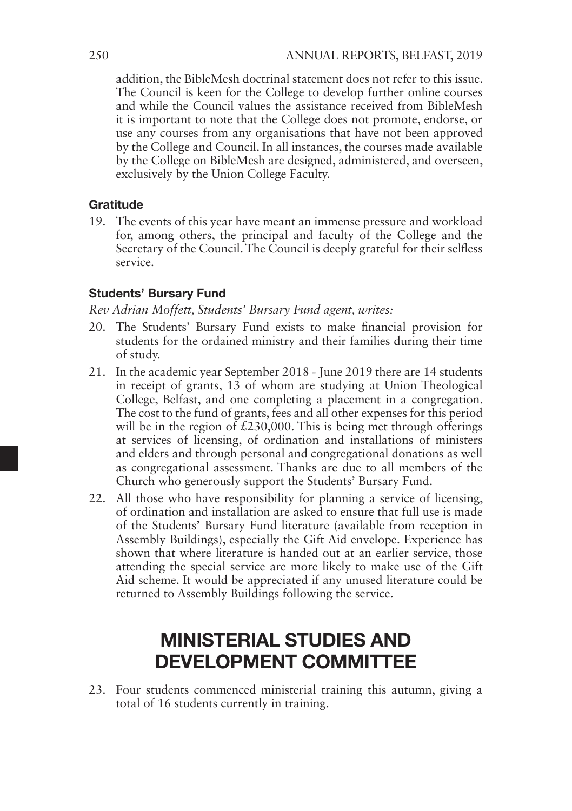addition, the BibleMesh doctrinal statement does not refer to this issue. The Council is keen for the College to develop further online courses and while the Council values the assistance received from BibleMesh it is important to note that the College does not promote, endorse, or use any courses from any organisations that have not been approved by the College and Council. In all instances, the courses made available by the College on BibleMesh are designed, administered, and overseen, exclusively by the Union College Faculty.

## Gratitude

19. The events of this year have meant an immense pressure and workload for, among others, the principal and faculty of the College and the Secretary of the Council. The Council is deeply grateful for their selfless service.

## Students' Bursary Fund

*Rev Adrian Moffett, Students' Bursary Fund agent, writes:*

- 20. The Students' Bursary Fund exists to make financial provision for students for the ordained ministry and their families during their time of study.
- 21. In the academic year September 2018 June 2019 there are 14 students in receipt of grants, 13 of whom are studying at Union Theological College, Belfast, and one completing a placement in a congregation. The cost to the fund of grants, fees and all other expenses for this period will be in the region of  $£230,000$ . This is being met through offerings at services of licensing, of ordination and installations of ministers and elders and through personal and congregational donations as well as congregational assessment. Thanks are due to all members of the Church who generously support the Students' Bursary Fund.
- 22. All those who have responsibility for planning a service of licensing, of ordination and installation are asked to ensure that full use is made of the Students' Bursary Fund literature (available from reception in Assembly Buildings), especially the Gift Aid envelope. Experience has shown that where literature is handed out at an earlier service, those attending the special service are more likely to make use of the Gift Aid scheme. It would be appreciated if any unused literature could be returned to Assembly Buildings following the service.

## MINISTERIAL STUDIES AND DEVELOPMENT COMMITTEE

23. Four students commenced ministerial training this autumn, giving a total of 16 students currently in training.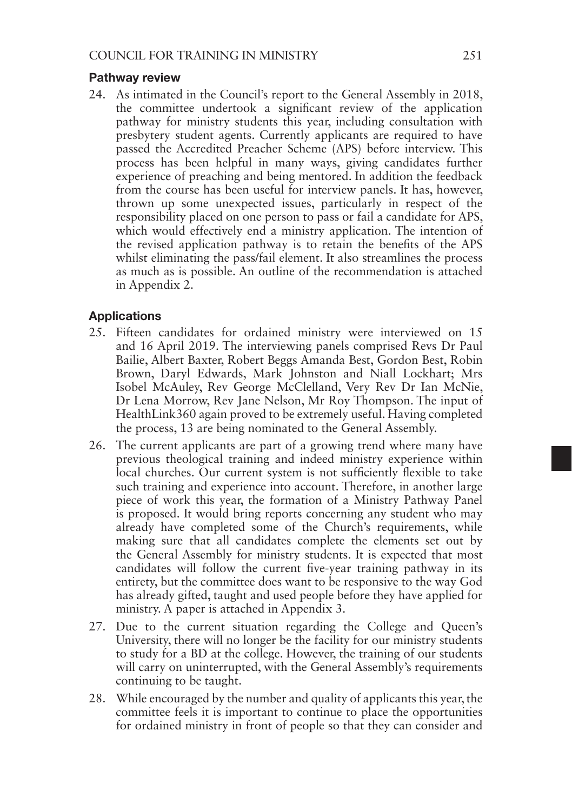#### Pathway review

24. As intimated in the Council's report to the General Assembly in 2018, the committee undertook a significant review of the application pathway for ministry students this year, including consultation with presbytery student agents. Currently applicants are required to have passed the Accredited Preacher Scheme (APS) before interview. This process has been helpful in many ways, giving candidates further experience of preaching and being mentored. In addition the feedback from the course has been useful for interview panels. It has, however, thrown up some unexpected issues, particularly in respect of the responsibility placed on one person to pass or fail a candidate for APS, which would effectively end a ministry application. The intention of the revised application pathway is to retain the benefits of the APS whilst eliminating the pass/fail element. It also streamlines the process as much as is possible. An outline of the recommendation is attached in Appendix 2.

### Applications

- 25. Fifteen candidates for ordained ministry were interviewed on 15 and 16 April 2019. The interviewing panels comprised Revs Dr Paul Bailie, Albert Baxter, Robert Beggs Amanda Best, Gordon Best, Robin Brown, Daryl Edwards, Mark Johnston and Niall Lockhart; Mrs Isobel McAuley, Rev George McClelland, Very Rev Dr Ian McNie, Dr Lena Morrow, Rev Jane Nelson, Mr Roy Thompson. The input of HealthLink360 again proved to be extremely useful. Having completed the process, 13 are being nominated to the General Assembly.
- 26. The current applicants are part of a growing trend where many have previous theological training and indeed ministry experience within local churches. Our current system is not sufficiently flexible to take such training and experience into account. Therefore, in another large piece of work this year, the formation of a Ministry Pathway Panel is proposed. It would bring reports concerning any student who may already have completed some of the Church's requirements, while making sure that all candidates complete the elements set out by the General Assembly for ministry students. It is expected that most candidates will follow the current five-year training pathway in its entirety, but the committee does want to be responsive to the way God has already gifted, taught and used people before they have applied for ministry. A paper is attached in Appendix 3.
- 27. Due to the current situation regarding the College and Queen's University, there will no longer be the facility for our ministry students to study for a BD at the college. However, the training of our students will carry on uninterrupted, with the General Assembly's requirements continuing to be taught.
- 28. While encouraged by the number and quality of applicants this year, the committee feels it is important to continue to place the opportunities for ordained ministry in front of people so that they can consider and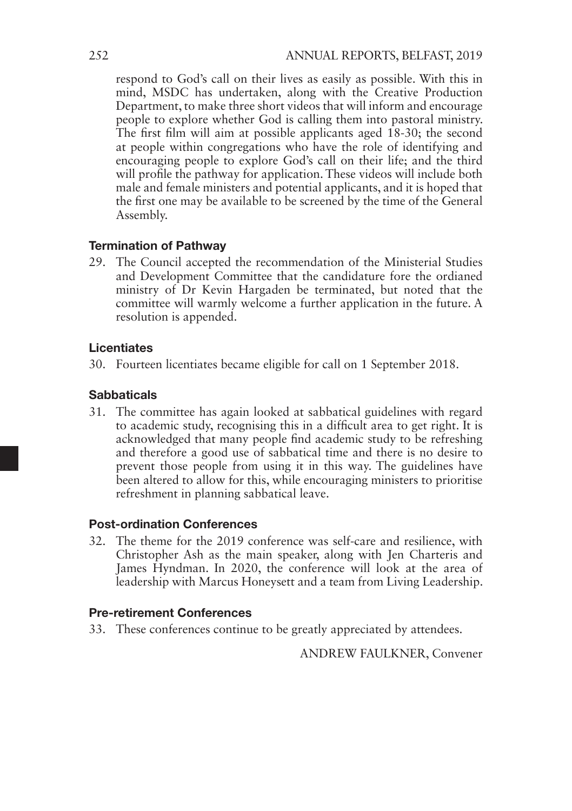respond to God's call on their lives as easily as possible. With this in mind, MSDC has undertaken, along with the Creative Production Department, to make three short videos that will inform and encourage people to explore whether God is calling them into pastoral ministry. The first film will aim at possible applicants aged 18-30; the second at people within congregations who have the role of identifying and encouraging people to explore God's call on their life; and the third will profile the pathway for application. These videos will include both male and female ministers and potential applicants, and it is hoped that the first one may be available to be screened by the time of the General Assembly.

### Termination of Pathway

29. The Council accepted the recommendation of the Ministerial Studies and Development Committee that the candidature fore the ordianed ministry of Dr Kevin Hargaden be terminated, but noted that the committee will warmly welcome a further application in the future. A resolution is appended.

#### Licentiates

30. Fourteen licentiates became eligible for call on 1 September 2018.

### **Sabbaticals**

31. The committee has again looked at sabbatical guidelines with regard to academic study, recognising this in a difficult area to get right. It is acknowledged that many people find academic study to be refreshing and therefore a good use of sabbatical time and there is no desire to prevent those people from using it in this way. The guidelines have been altered to allow for this, while encouraging ministers to prioritise refreshment in planning sabbatical leave.

### Post-ordination Conferences

32. The theme for the 2019 conference was self-care and resilience, with Christopher Ash as the main speaker, along with Jen Charteris and James Hyndman. In 2020, the conference will look at the area of leadership with Marcus Honeysett and a team from Living Leadership.

## Pre-retirement Conferences

33. These conferences continue to be greatly appreciated by attendees.

ANDREW FAULKNER, Convener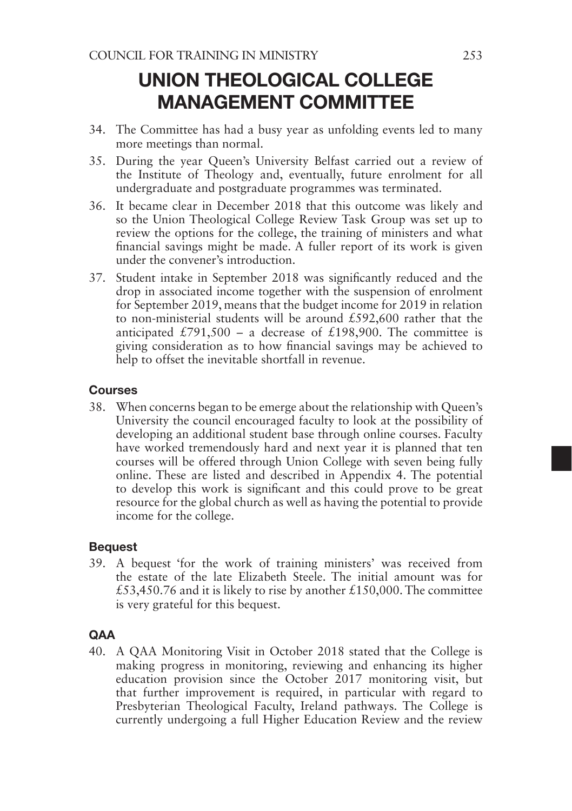## UNION THEOLOGICAL COLLEGE MANAGEMENT COMMITTEE

- 34. The Committee has had a busy year as unfolding events led to many more meetings than normal.
- 35. During the year Queen's University Belfast carried out a review of the Institute of Theology and, eventually, future enrolment for all undergraduate and postgraduate programmes was terminated.
- 36. It became clear in December 2018 that this outcome was likely and so the Union Theological College Review Task Group was set up to review the options for the college, the training of ministers and what financial savings might be made. A fuller report of its work is given under the convener's introduction.
- 37. Student intake in September 2018 was significantly reduced and the drop in associated income together with the suspension of enrolment for September 2019, means that the budget income for 2019 in relation to non-ministerial students will be around £592,600 rather that the anticipated £791,500 – a decrease of £198,900. The committee is giving consideration as to how financial savings may be achieved to help to offset the inevitable shortfall in revenue.

## Courses

38. When concerns began to be emerge about the relationship with Queen's University the council encouraged faculty to look at the possibility of developing an additional student base through online courses. Faculty have worked tremendously hard and next year it is planned that ten courses will be offered through Union College with seven being fully online. These are listed and described in Appendix 4. The potential to develop this work is significant and this could prove to be great resource for the global church as well as having the potential to provide income for the college.

## Bequest

39. A bequest 'for the work of training ministers' was received from the estate of the late Elizabeth Steele. The initial amount was for £53,450.76 and it is likely to rise by another £150,000. The committee is very grateful for this bequest.

## **QAA**

40. A QAA Monitoring Visit in October 2018 stated that the College is making progress in monitoring, reviewing and enhancing its higher education provision since the October 2017 monitoring visit, but that further improvement is required, in particular with regard to Presbyterian Theological Faculty, Ireland pathways. The College is currently undergoing a full Higher Education Review and the review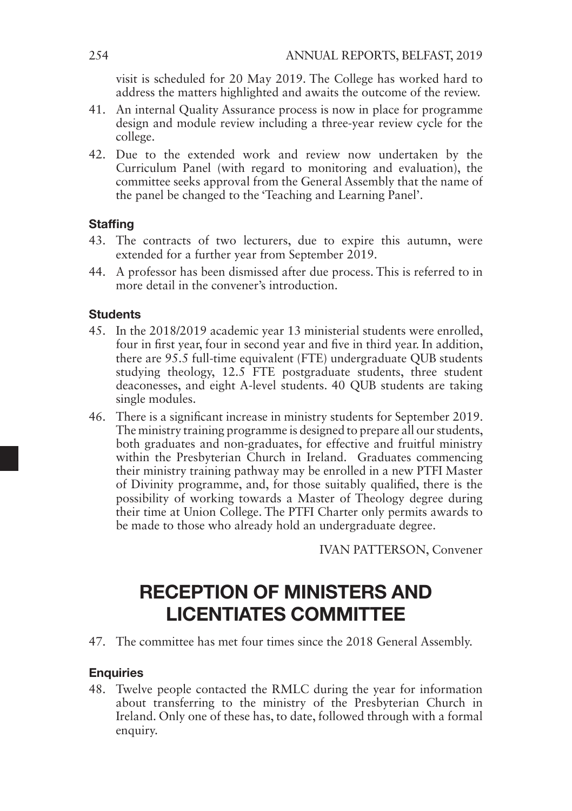visit is scheduled for 20 May 2019. The College has worked hard to address the matters highlighted and awaits the outcome of the review.

- 41. An internal Quality Assurance process is now in place for programme design and module review including a three-year review cycle for the college.
- 42. Due to the extended work and review now undertaken by the Curriculum Panel (with regard to monitoring and evaluation), the committee seeks approval from the General Assembly that the name of the panel be changed to the 'Teaching and Learning Panel'.

## **Staffing**

- 43. The contracts of two lecturers, due to expire this autumn, were extended for a further year from September 2019.
- 44. A professor has been dismissed after due process. This is referred to in more detail in the convener's introduction.

## **Students**

- 45. In the 2018/2019 academic year 13 ministerial students were enrolled, four in first year, four in second year and five in third year. In addition, there are 95.5 full-time equivalent (FTE) undergraduate QUB students studying theology, 12.5 FTE postgraduate students, three student deaconesses, and eight A-level students. 40 QUB students are taking single modules.
- 46. There is a significant increase in ministry students for September 2019. The ministry training programme is designed to prepare all our students, both graduates and non-graduates, for effective and fruitful ministry within the Presbyterian Church in Ireland. Graduates commencing their ministry training pathway may be enrolled in a new PTFI Master of Divinity programme, and, for those suitably qualified, there is the possibility of working towards a Master of Theology degree during their time at Union College. The PTFI Charter only permits awards to be made to those who already hold an undergraduate degree.

IVAN PATTERSON, Convener

## RECEPTION OF MINISTERS AND LICENTIATES COMMITTEE

47. The committee has met four times since the 2018 General Assembly.

## **Enquiries**

48. Twelve people contacted the RMLC during the year for information about transferring to the ministry of the Presbyterian Church in Ireland. Only one of these has, to date, followed through with a formal enquiry.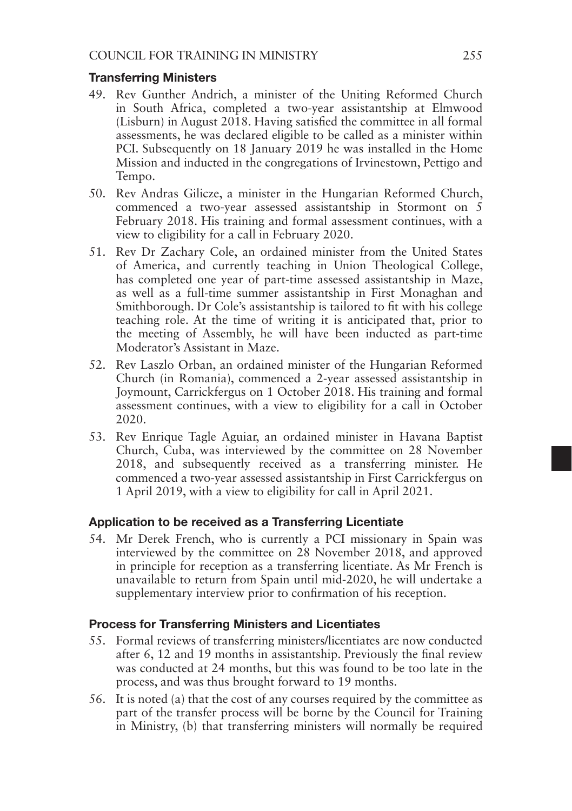#### Transferring Ministers

- 49. Rev Gunther Andrich, a minister of the Uniting Reformed Church in South Africa, completed a two-year assistantship at Elmwood (Lisburn) in August 2018. Having satisfied the committee in all formal assessments, he was declared eligible to be called as a minister within PCI. Subsequently on 18 January 2019 he was installed in the Home Mission and inducted in the congregations of Irvinestown, Pettigo and Tempo.
- 50. Rev Andras Gilicze, a minister in the Hungarian Reformed Church, commenced a two-year assessed assistantship in Stormont on 5 February 2018. His training and formal assessment continues, with a view to eligibility for a call in February 2020.
- 51. Rev Dr Zachary Cole, an ordained minister from the United States of America, and currently teaching in Union Theological College, has completed one year of part-time assessed assistantship in Maze, as well as a full-time summer assistantship in First Monaghan and Smithborough. Dr Cole's assistantship is tailored to fit with his college teaching role. At the time of writing it is anticipated that, prior to the meeting of Assembly, he will have been inducted as part-time Moderator's Assistant in Maze.
- 52. Rev Laszlo Orban, an ordained minister of the Hungarian Reformed Church (in Romania), commenced a 2-year assessed assistantship in Joymount, Carrickfergus on 1 October 2018. His training and formal assessment continues, with a view to eligibility for a call in October 2020.
- 53. Rev Enrique Tagle Aguiar, an ordained minister in Havana Baptist Church, Cuba, was interviewed by the committee on 28 November 2018, and subsequently received as a transferring minister. He commenced a two-year assessed assistantship in First Carrickfergus on 1 April 2019, with a view to eligibility for call in April 2021.

### Application to be received as a Transferring Licentiate

54. Mr Derek French, who is currently a PCI missionary in Spain was interviewed by the committee on 28 November 2018, and approved in principle for reception as a transferring licentiate. As Mr French is unavailable to return from Spain until mid-2020, he will undertake a supplementary interview prior to confirmation of his reception.

### Process for Transferring Ministers and Licentiates

- 55. Formal reviews of transferring ministers/licentiates are now conducted after 6, 12 and 19 months in assistantship. Previously the final review was conducted at 24 months, but this was found to be too late in the process, and was thus brought forward to 19 months.
- 56. It is noted (a) that the cost of any courses required by the committee as part of the transfer process will be borne by the Council for Training in Ministry, (b) that transferring ministers will normally be required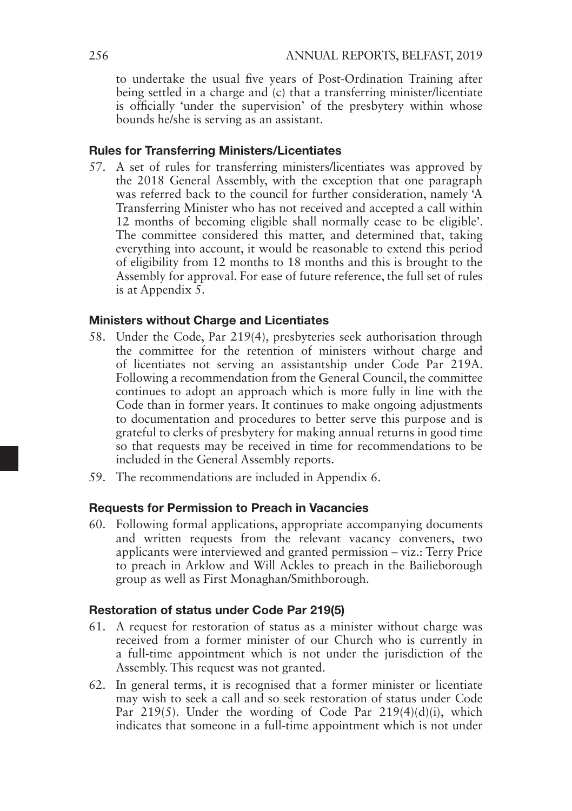to undertake the usual five years of Post-Ordination Training after being settled in a charge and (c) that a transferring minister/licentiate is officially 'under the supervision' of the presbytery within whose bounds he/she is serving as an assistant.

#### Rules for Transferring Ministers/Licentiates

57. A set of rules for transferring ministers/licentiates was approved by the 2018 General Assembly, with the exception that one paragraph was referred back to the council for further consideration, namely 'A Transferring Minister who has not received and accepted a call within 12 months of becoming eligible shall normally cease to be eligible'. The committee considered this matter, and determined that, taking everything into account, it would be reasonable to extend this period of eligibility from 12 months to 18 months and this is brought to the Assembly for approval. For ease of future reference, the full set of rules is at Appendix 5.

## Ministers without Charge and Licentiates

- 58. Under the Code, Par 219(4), presbyteries seek authorisation through the committee for the retention of ministers without charge and of licentiates not serving an assistantship under Code Par 219A. Following a recommendation from the General Council, the committee continues to adopt an approach which is more fully in line with the Code than in former years. It continues to make ongoing adjustments to documentation and procedures to better serve this purpose and is grateful to clerks of presbytery for making annual returns in good time so that requests may be received in time for recommendations to be included in the General Assembly reports.
- 59. The recommendations are included in Appendix 6.

#### Requests for Permission to Preach in Vacancies

60. Following formal applications, appropriate accompanying documents and written requests from the relevant vacancy conveners, two applicants were interviewed and granted permission – viz.: Terry Price to preach in Arklow and Will Ackles to preach in the Bailieborough group as well as First Monaghan/Smithborough.

#### Restoration of status under Code Par 219(5)

- 61. A request for restoration of status as a minister without charge was received from a former minister of our Church who is currently in a full-time appointment which is not under the jurisdiction of the Assembly. This request was not granted.
- 62. In general terms, it is recognised that a former minister or licentiate may wish to seek a call and so seek restoration of status under Code Par 219(5). Under the wording of Code Par 219(4)(d)(i), which indicates that someone in a full-time appointment which is not under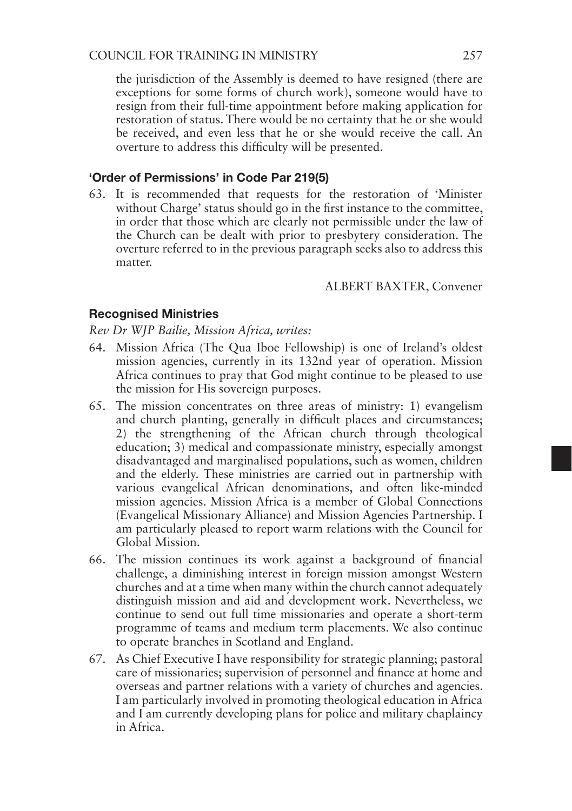## COUNCIL FOR TRAINING IN MINISTRY 257

the jurisdiction of the Assembly is deemed to have resigned (there are exceptions for some forms of church work), someone would have to resign from their full-time appointment before making application for restoration of status. There would be no certainty that he or she would be received, and even less that he or she would receive the call. An overture to address this difficulty will be presented.

## 'Order of Permissions' in Code Par 219(5)

63. It is recommended that requests for the restoration of 'Minister without Charge' status should go in the first instance to the committee, in order that those which are clearly not permissible under the law of the Church can be dealt with prior to presbytery consideration. The overture referred to in the previous paragraph seeks also to address this matter.

#### ALBERT BAXTER, Convener

#### Recognised Ministries

*Rev Dr WJP Bailie, Mission Africa, writes:*

- 64. Mission Africa (The Qua Iboe Fellowship) is one of Ireland's oldest mission agencies, currently in its 132nd year of operation. Mission Africa continues to pray that God might continue to be pleased to use the mission for His sovereign purposes.
- 65. The mission concentrates on three areas of ministry: 1) evangelism and church planting, generally in difficult places and circumstances; 2) the strengthening of the African church through theological education; 3) medical and compassionate ministry, especially amongst disadvantaged and marginalised populations, such as women, children and the elderly. These ministries are carried out in partnership with various evangelical African denominations, and often like-minded mission agencies. Mission Africa is a member of Global Connections (Evangelical Missionary Alliance) and Mission Agencies Partnership. I am particularly pleased to report warm relations with the Council for Global Mission.
- 66. The mission continues its work against a background of financial challenge, a diminishing interest in foreign mission amongst Western churches and at a time when many within the church cannot adequately distinguish mission and aid and development work. Nevertheless, we continue to send out full time missionaries and operate a short-term programme of teams and medium term placements. We also continue to operate branches in Scotland and England.
- 67. As Chief Executive I have responsibility for strategic planning; pastoral care of missionaries; supervision of personnel and finance at home and overseas and partner relations with a variety of churches and agencies. I am particularly involved in promoting theological education in Africa and I am currently developing plans for police and military chaplaincy in Africa.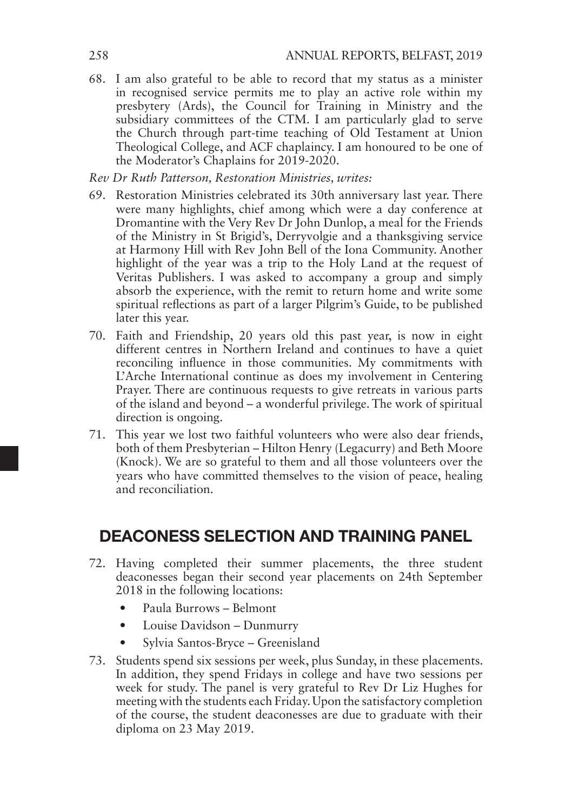68. I am also grateful to be able to record that my status as a minister in recognised service permits me to play an active role within my presbytery (Ards), the Council for Training in Ministry and the subsidiary committees of the CTM. I am particularly glad to serve the Church through part-time teaching of Old Testament at Union Theological College, and ACF chaplaincy. I am honoured to be one of the Moderator's Chaplains for 2019-2020.

*Rev Dr Ruth Patterson, Restoration Ministries, writes:* 

- 69. Restoration Ministries celebrated its 30th anniversary last year. There were many highlights, chief among which were a day conference at Dromantine with the Very Rev Dr John Dunlop, a meal for the Friends of the Ministry in St Brigid's, Derryvolgie and a thanksgiving service at Harmony Hill with Rev John Bell of the Iona Community. Another highlight of the year was a trip to the Holy Land at the request of Veritas Publishers. I was asked to accompany a group and simply absorb the experience, with the remit to return home and write some spiritual reflections as part of a larger Pilgrim's Guide, to be published later this year.
- 70. Faith and Friendship, 20 years old this past year, is now in eight different centres in Northern Ireland and continues to have a quiet reconciling influence in those communities. My commitments with L'Arche International continue as does my involvement in Centering Prayer. There are continuous requests to give retreats in various parts of the island and beyond – a wonderful privilege. The work of spiritual direction is ongoing.
- 71. This year we lost two faithful volunteers who were also dear friends, both of them Presbyterian – Hilton Henry (Legacurry) and Beth Moore (Knock). We are so grateful to them and all those volunteers over the years who have committed themselves to the vision of peace, healing and reconciliation.

## DEACONESS SELECTION AND TRAINING PANEL

- 72. Having completed their summer placements, the three student deaconesses began their second year placements on 24th September 2018 in the following locations:
	- Paula Burrows Belmont
	- Louise Davidson Dunmurry
	- Sylvia Santos-Bryce Greenisland
- 73. Students spend six sessions per week, plus Sunday, in these placements. In addition, they spend Fridays in college and have two sessions per week for study. The panel is very grateful to Rev Dr Liz Hughes for meeting with the students each Friday. Upon the satisfactory completion of the course, the student deaconesses are due to graduate with their diploma on 23 May 2019.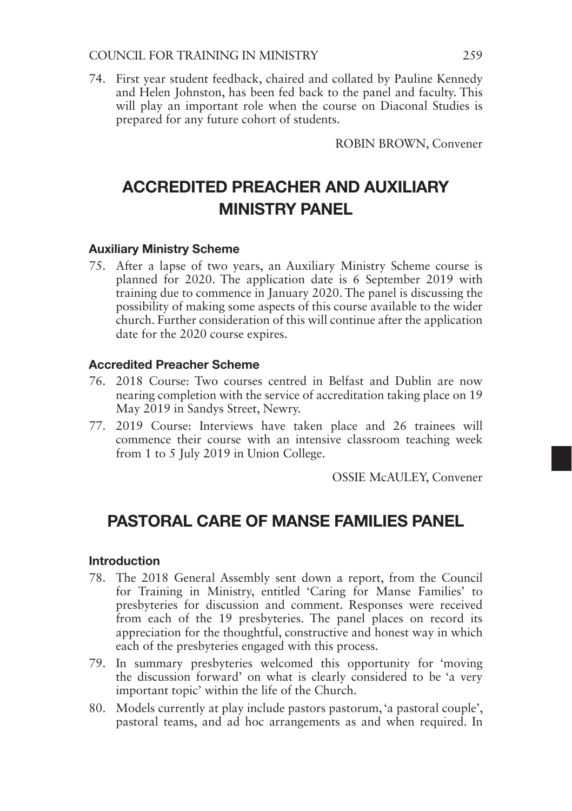### COUNCIL FOR TRAINING IN MINISTRY 259

74. First year student feedback, chaired and collated by Pauline Kennedy and Helen Johnston, has been fed back to the panel and faculty. This will play an important role when the course on Diaconal Studies is prepared for any future cohort of students.

ROBIN BROWN, Convener

## ACCREDITED PREACHER AND AUXILIARY MINISTRY PANEL

### Auxiliary Ministry Scheme

75. After a lapse of two years, an Auxiliary Ministry Scheme course is planned for 2020. The application date is 6 September 2019 with training due to commence in January 2020. The panel is discussing the possibility of making some aspects of this course available to the wider church. Further consideration of this will continue after the application date for the 2020 course expires.

#### Accredited Preacher Scheme

- 76. 2018 Course: Two courses centred in Belfast and Dublin are now nearing completion with the service of accreditation taking place on 19 May 2019 in Sandys Street, Newry.
- 77. 2019 Course: Interviews have taken place and 26 trainees will commence their course with an intensive classroom teaching week from 1 to 5 July 2019 in Union College.

OSSIE McAULEY, Convener

## PASTORAL CARE OF MANSE FAMILIES PANEL

#### Introduction

- 78. The 2018 General Assembly sent down a report, from the Council for Training in Ministry, entitled 'Caring for Manse Families' to presbyteries for discussion and comment. Responses were received from each of the 19 presbyteries. The panel places on record its appreciation for the thoughtful, constructive and honest way in which each of the presbyteries engaged with this process.
- 79. In summary presbyteries welcomed this opportunity for 'moving the discussion forward' on what is clearly considered to be 'a very important topic' within the life of the Church.
- 80. Models currently at play include pastors pastorum, 'a pastoral couple', pastoral teams, and ad hoc arrangements as and when required. In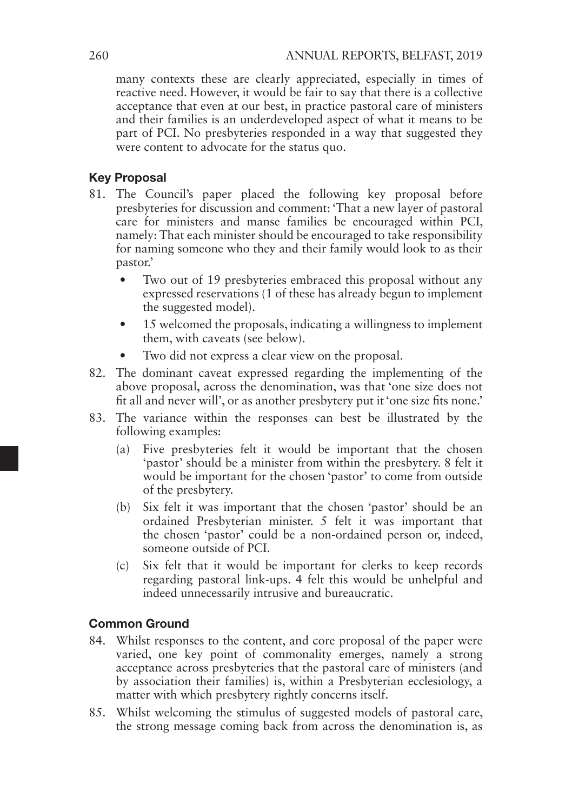many contexts these are clearly appreciated, especially in times of reactive need. However, it would be fair to say that there is a collective acceptance that even at our best, in practice pastoral care of ministers and their families is an underdeveloped aspect of what it means to be part of PCI. No presbyteries responded in a way that suggested they were content to advocate for the status quo.

## Key Proposal

- 81. The Council's paper placed the following key proposal before presbyteries for discussion and comment: 'That a new layer of pastoral care for ministers and manse families be encouraged within PCI, namely: That each minister should be encouraged to take responsibility for naming someone who they and their family would look to as their pastor.'
	- Two out of 19 presbyteries embraced this proposal without any expressed reservations (1 of these has already begun to implement the suggested model).
	- 15 welcomed the proposals, indicating a willingness to implement them, with caveats (see below).
	- Two did not express a clear view on the proposal.
- 82. The dominant caveat expressed regarding the implementing of the above proposal, across the denomination, was that 'one size does not fit all and never will', or as another presbytery put it 'one size fits none.'
- 83. The variance within the responses can best be illustrated by the following examples:
	- (a) Five presbyteries felt it would be important that the chosen 'pastor' should be a minister from within the presbytery. 8 felt it would be important for the chosen 'pastor' to come from outside of the presbytery.
	- (b) Six felt it was important that the chosen 'pastor' should be an ordained Presbyterian minister. 5 felt it was important that the chosen 'pastor' could be a non-ordained person or, indeed, someone outside of PCI.
	- (c) Six felt that it would be important for clerks to keep records regarding pastoral link-ups. 4 felt this would be unhelpful and indeed unnecessarily intrusive and bureaucratic.

## Common Ground

- 84. Whilst responses to the content, and core proposal of the paper were varied, one key point of commonality emerges, namely a strong acceptance across presbyteries that the pastoral care of ministers (and by association their families) is, within a Presbyterian ecclesiology, a matter with which presbytery rightly concerns itself.
- 85. Whilst welcoming the stimulus of suggested models of pastoral care, the strong message coming back from across the denomination is, as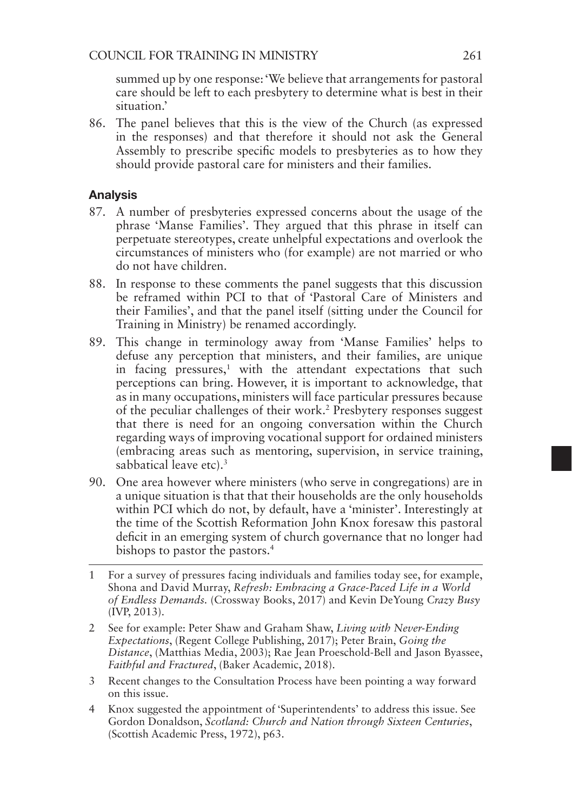summed up by one response: 'We believe that arrangements for pastoral care should be left to each presbytery to determine what is best in their situation.'

86. The panel believes that this is the view of the Church (as expressed in the responses) and that therefore it should not ask the General Assembly to prescribe specific models to presbyteries as to how they should provide pastoral care for ministers and their families.

## Analysis

- 87. A number of presbyteries expressed concerns about the usage of the phrase 'Manse Families'. They argued that this phrase in itself can perpetuate stereotypes, create unhelpful expectations and overlook the circumstances of ministers who (for example) are not married or who do not have children.
- 88. In response to these comments the panel suggests that this discussion be reframed within PCI to that of 'Pastoral Care of Ministers and their Families', and that the panel itself (sitting under the Council for Training in Ministry) be renamed accordingly.
- 89. This change in terminology away from 'Manse Families' helps to defuse any perception that ministers, and their families, are unique in facing pressures,<sup>1</sup> with the attendant expectations that such perceptions can bring. However, it is important to acknowledge, that as in many occupations, ministers will face particular pressures because of the peculiar challenges of their work.2 Presbytery responses suggest that there is need for an ongoing conversation within the Church regarding ways of improving vocational support for ordained ministers (embracing areas such as mentoring, supervision, in service training, sabbatical leave etc).<sup>3</sup>
- 90. One area however where ministers (who serve in congregations) are in a unique situation is that that their households are the only households within PCI which do not, by default, have a 'minister'. Interestingly at the time of the Scottish Reformation John Knox foresaw this pastoral deficit in an emerging system of church governance that no longer had bishops to pastor the pastors.4
- 1 For a survey of pressures facing individuals and families today see, for example, Shona and David Murray, *Refresh: Embracing a Grace-Paced Life in a World of Endless Demands.* (Crossway Books, 2017) and Kevin DeYoung *Crazy Busy* (IVP, 2013).
- 2 See for example: Peter Shaw and Graham Shaw, *Living with Never-Ending Expectations*, (Regent College Publishing, 2017); Peter Brain, *Going the Distance*, (Matthias Media, 2003); Rae Jean Proeschold-Bell and Jason Byassee, *Faithful and Fractured*, (Baker Academic, 2018).
- 3 Recent changes to the Consultation Process have been pointing a way forward on this issue.
- 4 Knox suggested the appointment of 'Superintendents' to address this issue. See Gordon Donaldson, *Scotland: Church and Nation through Sixteen Centuries*, (Scottish Academic Press, 1972), p63.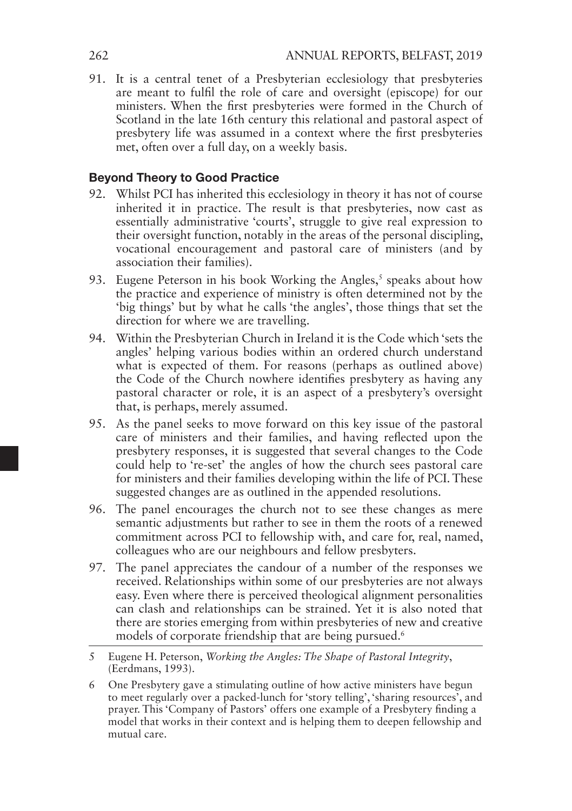91. It is a central tenet of a Presbyterian ecclesiology that presbyteries are meant to fulfil the role of care and oversight (episcope) for our ministers. When the first presbyteries were formed in the Church of Scotland in the late 16th century this relational and pastoral aspect of presbytery life was assumed in a context where the first presbyteries met, often over a full day, on a weekly basis.

## Beyond Theory to Good Practice

- 92. Whilst PCI has inherited this ecclesiology in theory it has not of course inherited it in practice. The result is that presbyteries, now cast as essentially administrative 'courts', struggle to give real expression to their oversight function, notably in the areas of the personal discipling, vocational encouragement and pastoral care of ministers (and by association their families).
- 93. Eugene Peterson in his book Working the Angles,<sup>5</sup> speaks about how the practice and experience of ministry is often determined not by the 'big things' but by what he calls 'the angles', those things that set the direction for where we are travelling.
- 94. Within the Presbyterian Church in Ireland it is the Code which 'sets the angles' helping various bodies within an ordered church understand what is expected of them. For reasons (perhaps as outlined above) the Code of the Church nowhere identifies presbytery as having any pastoral character or role, it is an aspect of a presbytery's oversight that, is perhaps, merely assumed.
- 95. As the panel seeks to move forward on this key issue of the pastoral care of ministers and their families, and having reflected upon the presbytery responses, it is suggested that several changes to the Code could help to 're-set' the angles of how the church sees pastoral care for ministers and their families developing within the life of PCI. These suggested changes are as outlined in the appended resolutions.
- 96. The panel encourages the church not to see these changes as mere semantic adjustments but rather to see in them the roots of a renewed commitment across PCI to fellowship with, and care for, real, named, colleagues who are our neighbours and fellow presbyters.
- 97. The panel appreciates the candour of a number of the responses we received. Relationships within some of our presbyteries are not always easy. Even where there is perceived theological alignment personalities can clash and relationships can be strained. Yet it is also noted that there are stories emerging from within presbyteries of new and creative models of corporate friendship that are being pursued.<sup>6</sup>

6 One Presbytery gave a stimulating outline of how active ministers have begun to meet regularly over a packed-lunch for 'story telling', 'sharing resources', and prayer. This 'Company of Pastors' offers one example of a Presbytery finding a model that works in their context and is helping them to deepen fellowship and mutual care.

<sup>5</sup> Eugene H. Peterson, *Working the Angles: The Shape of Pastoral Integrity*, (Eerdmans, 1993).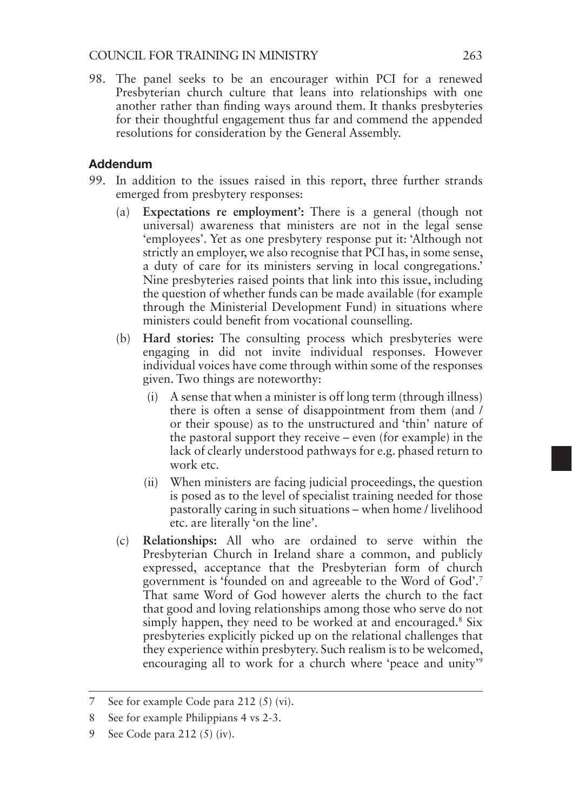98. The panel seeks to be an encourager within PCI for a renewed Presbyterian church culture that leans into relationships with one another rather than finding ways around them. It thanks presbyteries for their thoughtful engagement thus far and commend the appended resolutions for consideration by the General Assembly.

## Addendum

- 99. In addition to the issues raised in this report, three further strands emerged from presbytery responses:
	- (a) **Expectations re employment':** There is a general (though not universal) awareness that ministers are not in the legal sense 'employees'. Yet as one presbytery response put it: 'Although not strictly an employer, we also recognise that PCI has, in some sense, a duty of care for its ministers serving in local congregations.' Nine presbyteries raised points that link into this issue, including the question of whether funds can be made available (for example through the Ministerial Development Fund) in situations where ministers could benefit from vocational counselling.
	- (b) **Hard stories:** The consulting process which presbyteries were engaging in did not invite individual responses. However individual voices have come through within some of the responses given. Two things are noteworthy:
		- (i) A sense that when a minister is off long term (through illness) there is often a sense of disappointment from them (and / or their spouse) as to the unstructured and 'thin' nature of the pastoral support they receive – even (for example) in the lack of clearly understood pathways for e.g. phased return to work etc.
		- (ii) When ministers are facing judicial proceedings, the question is posed as to the level of specialist training needed for those pastorally caring in such situations – when home / livelihood etc. are literally 'on the line'.
	- (c) **Relationships:** All who are ordained to serve within the Presbyterian Church in Ireland share a common, and publicly expressed, acceptance that the Presbyterian form of church government is 'founded on and agreeable to the Word of God'.7 That same Word of God however alerts the church to the fact that good and loving relationships among those who serve do not simply happen, they need to be worked at and encouraged.<sup>8</sup> Six presbyteries explicitly picked up on the relational challenges that they experience within presbytery. Such realism is to be welcomed, encouraging all to work for a church where 'peace and unity'9

<sup>7</sup> See for example Code para 212 (5) (vi).

<sup>8</sup> See for example Philippians 4 vs 2-3.

<sup>9</sup> See Code para 212 (5) (iv).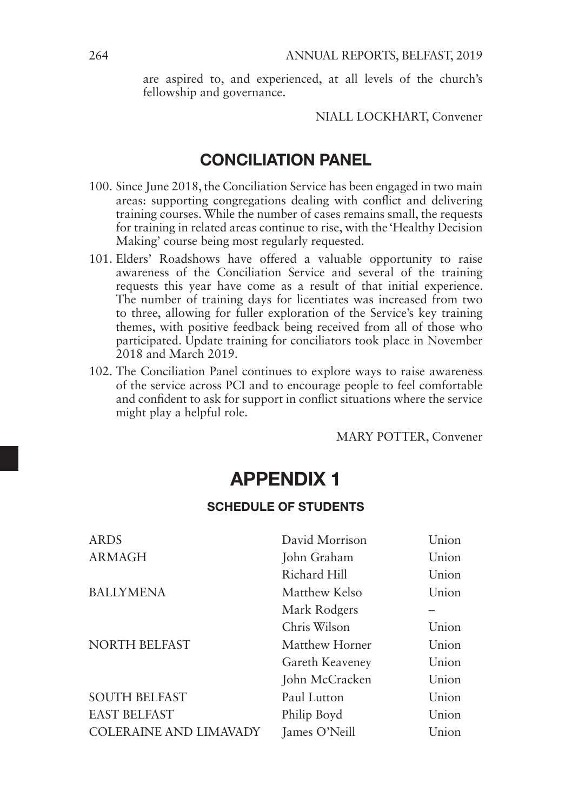are aspired to, and experienced, at all levels of the church's fellowship and governance.

NIALL LOCKHART, Convener

## CONCILIATION PANEL

- 100. Since June 2018, the Conciliation Service has been engaged in two main areas: supporting congregations dealing with conflict and delivering training courses. While the number of cases remains small, the requests for training in related areas continue to rise, with the 'Healthy Decision Making' course being most regularly requested.
- 101. Elders' Roadshows have offered a valuable opportunity to raise awareness of the Conciliation Service and several of the training requests this year have come as a result of that initial experience. The number of training days for licentiates was increased from two to three, allowing for fuller exploration of the Service's key training themes, with positive feedback being received from all of those who participated. Update training for conciliators took place in November 2018 and March 2019.
- 102. The Conciliation Panel continues to explore ways to raise awareness of the service across PCI and to encourage people to feel comfortable and confident to ask for support in conflict situations where the service might play a helpful role.

MARY POTTER, Convener

## APPENDIX 1

## SCHEDULE OF STUDENTS

| <b>ARDS</b>                   | David Morrison        | Union |
|-------------------------------|-----------------------|-------|
| <b>ARMAGH</b>                 | John Graham           | Union |
|                               | Richard Hill          | Union |
| <b>BALLYMENA</b>              | <b>Matthew Kelso</b>  | Union |
|                               | Mark Rodgers          |       |
|                               | Chris Wilson          | Union |
| <b>NORTH BELFAST</b>          | <b>Matthew Horner</b> | Union |
|                               | Gareth Keaveney       | Union |
|                               | John McCracken        | Union |
| <b>SOUTH BELFAST</b>          | Paul Lutton           | Union |
| <b>EAST BELFAST</b>           | Philip Boyd           | Union |
| <b>COLERAINE AND LIMAVADY</b> | James O'Neill         | Union |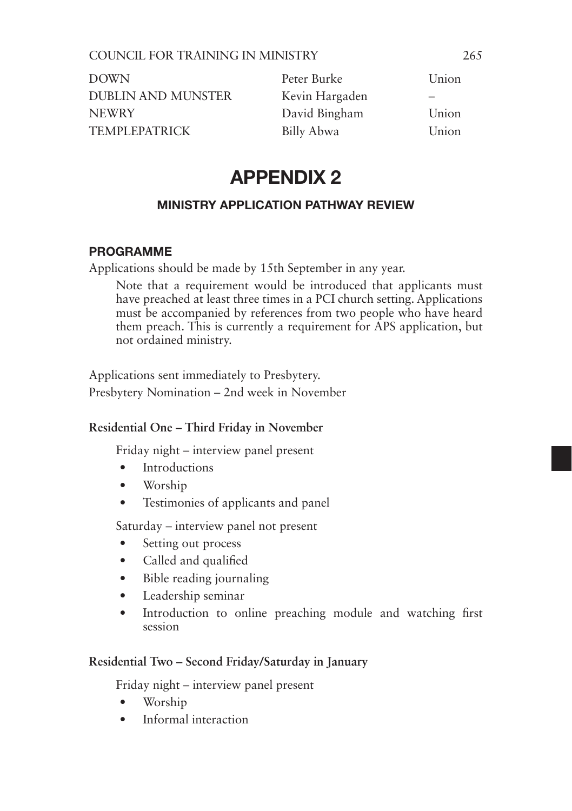| DOWN                 | Peter Burke    | Union |
|----------------------|----------------|-------|
| DUBLIN AND MUNSTER   | Kevin Hargaden | -     |
| <b>NEWRY</b>         | David Bingham  | Union |
| <b>TEMPLEPATRICK</b> | Billy Abwa     | Union |

## APPENDIX 2

## MINISTRY APPLICATION PATHWAY REVIEW

## PROGRAMME

Applications should be made by 15th September in any year.

Note that a requirement would be introduced that applicants must have preached at least three times in a PCI church setting. Applications must be accompanied by references from two people who have heard them preach. This is currently a requirement for APS application, but not ordained ministry.

Applications sent immediately to Presbytery. Presbytery Nomination – 2nd week in November

## **Residential One – Third Friday in November**

Friday night – interview panel present

- Introductions
- Worship
- Testimonies of applicants and panel

Saturday – interview panel not present

- Setting out process
- Called and qualified
- Bible reading journaling
- Leadership seminar
- Introduction to online preaching module and watching first session

## **Residential Two – Second Friday/Saturday in January**

Friday night – interview panel present

- Worship
- Informal interaction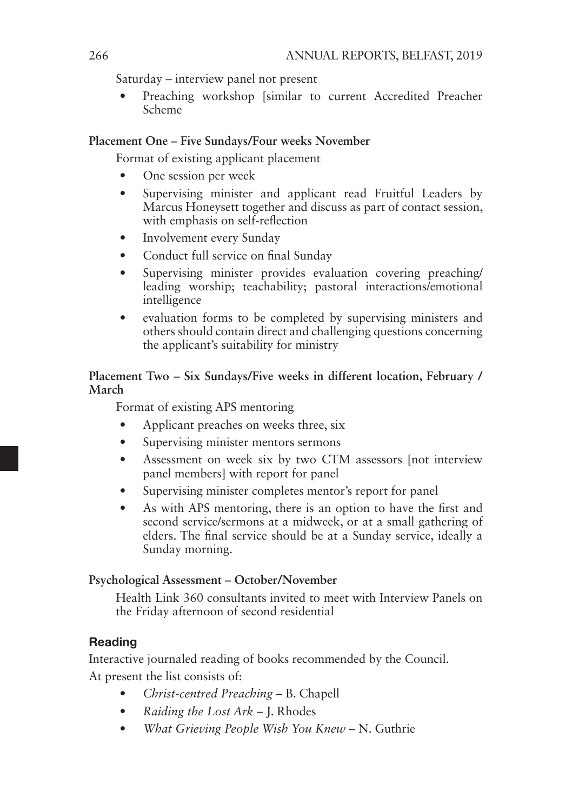Saturday – interview panel not present

• Preaching workshop [similar to current Accredited Preacher Scheme

## **Placement One – Five Sundays/Four weeks November**

Format of existing applicant placement

- One session per week
- Supervising minister and applicant read Fruitful Leaders by Marcus Honeysett together and discuss as part of contact session, with emphasis on self-reflection
- Involvement every Sunday
- Conduct full service on final Sunday
- Supervising minister provides evaluation covering preaching/ leading worship; teachability; pastoral interactions/emotional intelligence
- evaluation forms to be completed by supervising ministers and others should contain direct and challenging questions concerning the applicant's suitability for ministry

## **Placement Two – Six Sundays/Five weeks in different location, February / March**

Format of existing APS mentoring

- Applicant preaches on weeks three, six
- Supervising minister mentors sermons
- Assessment on week six by two CTM assessors [not interview] panel members] with report for panel
- Supervising minister completes mentor's report for panel
- As with APS mentoring, there is an option to have the first and second service/sermons at a midweek, or at a small gathering of elders. The final service should be at a Sunday service, ideally a Sunday morning.

## **Psychological Assessment – October/November**

Health Link 360 consultants invited to meet with Interview Panels on the Friday afternoon of second residential

## **Reading**

Interactive journaled reading of books recommended by the Council. At present the list consists of:

- *Christ-centred Preaching* B. Chapell
- *Raiding the Lost Ark* J. Rhodes
- *What Grieving People Wish You Knew* N. Guthrie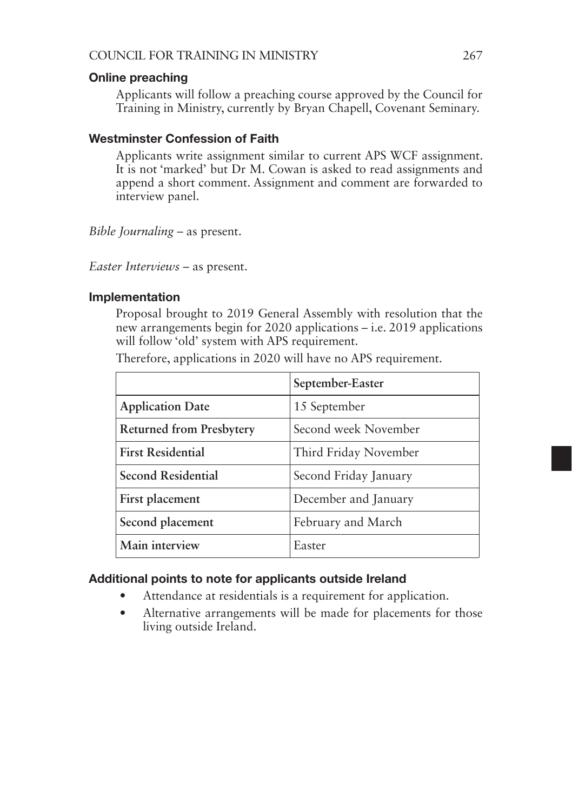### Online preaching

Applicants will follow a preaching course approved by the Council for Training in Ministry, currently by Bryan Chapell, Covenant Seminary.

## Westminster Confession of Faith

Applicants write assignment similar to current APS WCF assignment. It is not 'marked' but Dr M. Cowan is asked to read assignments and append a short comment. Assignment and comment are forwarded to interview panel.

*Bible Journaling* – as present.

*Easter Interviews* – as present.

### Implementation

Proposal brought to 2019 General Assembly with resolution that the new arrangements begin for 2020 applications – i.e. 2019 applications will follow 'old' system with APS requirement.

|  |  |  |  |  |  |  | Therefore, applications in 2020 will have no APS requirement. |
|--|--|--|--|--|--|--|---------------------------------------------------------------|
|--|--|--|--|--|--|--|---------------------------------------------------------------|

|                                 | September-Easter      |
|---------------------------------|-----------------------|
| <b>Application Date</b>         | 15 September          |
| <b>Returned from Presbytery</b> | Second week November  |
| <b>First Residential</b>        | Third Friday November |
| Second Residential              | Second Friday January |
| First placement                 | December and January  |
| Second placement                | February and March    |
| Main interview                  | Easter                |

## Additional points to note for applicants outside Ireland

- Attendance at residentials is a requirement for application.
- Alternative arrangements will be made for placements for those living outside Ireland.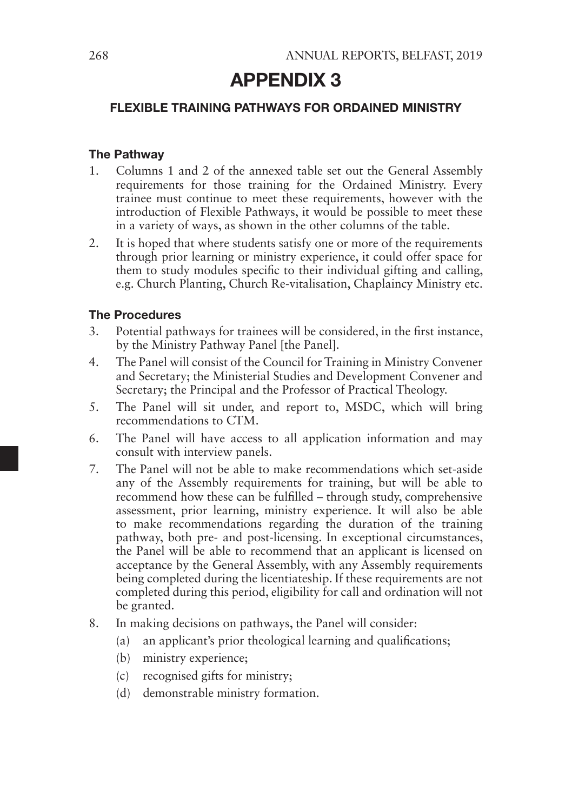## APPENDIX 3

## FLEXIBLE TRAINING PATHWAYS FOR ORDAINED MINISTRY

## The Pathway

- 1. Columns 1 and 2 of the annexed table set out the General Assembly requirements for those training for the Ordained Ministry. Every trainee must continue to meet these requirements, however with the introduction of Flexible Pathways, it would be possible to meet these in a variety of ways, as shown in the other columns of the table.
- 2. It is hoped that where students satisfy one or more of the requirements through prior learning or ministry experience, it could offer space for them to study modules specific to their individual gifting and calling, e.g. Church Planting, Church Re-vitalisation, Chaplaincy Ministry etc.

## The Procedures

- 3. Potential pathways for trainees will be considered, in the first instance, by the Ministry Pathway Panel [the Panel].
- 4. The Panel will consist of the Council for Training in Ministry Convener and Secretary; the Ministerial Studies and Development Convener and Secretary; the Principal and the Professor of Practical Theology.
- 5. The Panel will sit under, and report to, MSDC, which will bring recommendations to CTM.
- 6. The Panel will have access to all application information and may consult with interview panels.
- 7. The Panel will not be able to make recommendations which set-aside any of the Assembly requirements for training, but will be able to recommend how these can be fulfilled – through study, comprehensive assessment, prior learning, ministry experience. It will also be able to make recommendations regarding the duration of the training pathway, both pre- and post-licensing. In exceptional circumstances, the Panel will be able to recommend that an applicant is licensed on acceptance by the General Assembly, with any Assembly requirements being completed during the licentiateship. If these requirements are not completed during this period, eligibility for call and ordination will not be granted.
- 8. In making decisions on pathways, the Panel will consider:
	- (a) an applicant's prior theological learning and qualifications;
	- (b) ministry experience;
	- (c) recognised gifts for ministry;
	- (d) demonstrable ministry formation.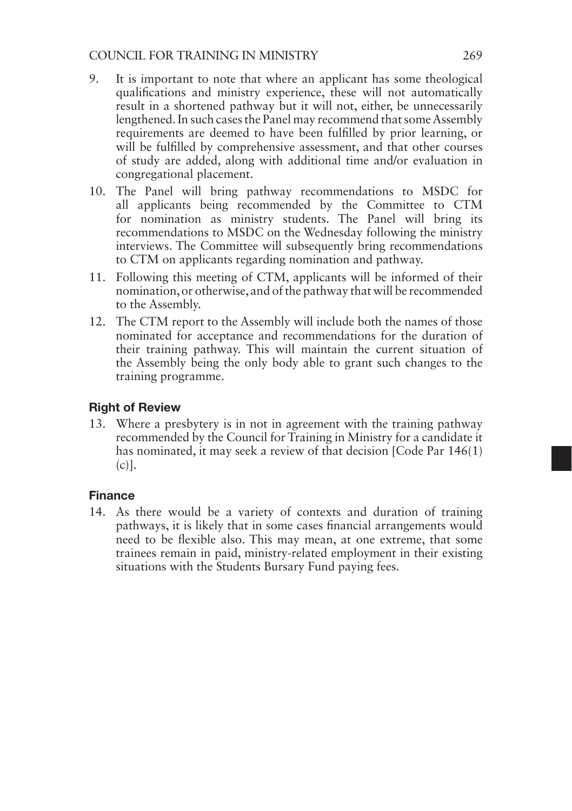## COUNCIL FOR TRAINING IN MINISTRY 269

- 9. It is important to note that where an applicant has some theological qualifications and ministry experience, these will not automatically result in a shortened pathway but it will not, either, be unnecessarily lengthened. In such cases the Panel may recommend that some Assembly requirements are deemed to have been fulfilled by prior learning, or will be fulfilled by comprehensive assessment, and that other courses of study are added, along with additional time and/or evaluation in congregational placement.
- 10. The Panel will bring pathway recommendations to MSDC for all applicants being recommended by the Committee to CTM for nomination as ministry students. The Panel will bring its recommendations to MSDC on the Wednesday following the ministry interviews. The Committee will subsequently bring recommendations to CTM on applicants regarding nomination and pathway.
- 11. Following this meeting of CTM, applicants will be informed of their nomination, or otherwise, and of the pathway that will be recommended to the Assembly.
- 12. The CTM report to the Assembly will include both the names of those nominated for acceptance and recommendations for the duration of their training pathway. This will maintain the current situation of the Assembly being the only body able to grant such changes to the training programme.

## Right of Review

13. Where a presbytery is in not in agreement with the training pathway recommended by the Council for Training in Ministry for a candidate it has nominated, it may seek a review of that decision [Code Par 146(1)  $(c)$ ].

## Finance

14. As there would be a variety of contexts and duration of training pathways, it is likely that in some cases financial arrangements would need to be flexible also. This may mean, at one extreme, that some trainees remain in paid, ministry-related employment in their existing situations with the Students Bursary Fund paying fees.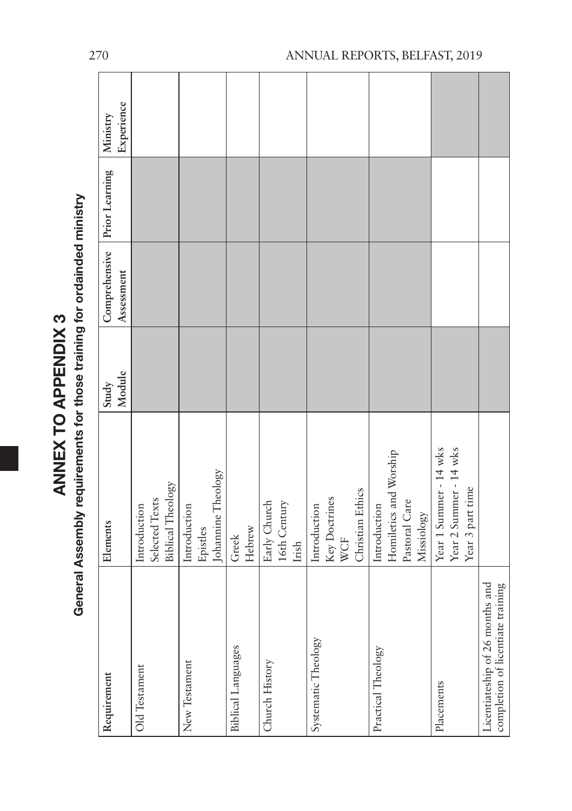| <b>/ To Addininy o</b><br>2010年12月 | יי היי הי<br><b>Contract of the Contract Contract Contract Contract Contract Contract Contract Contract Contract Contract Contract Contract Contract Contract Contract Contract Contract Contract Contract Contract Contract Contract Contrac</b><br>-amante for |
|------------------------------------|------------------------------------------------------------------------------------------------------------------------------------------------------------------------------------------------------------------------------------------------------------------|
|                                    |                                                                                                                                                                                                                                                                  |
|                                    |                                                                                                                                                                                                                                                                  |

| Requirement                                                          | Elements               | Study  | Comprehensive | Prior Learning | Ministry   |  |
|----------------------------------------------------------------------|------------------------|--------|---------------|----------------|------------|--|
|                                                                      |                        | Module | Assessment    |                | Experience |  |
| Old Testament                                                        | Introduction           |        |               |                |            |  |
|                                                                      | Selected Texts         |        |               |                |            |  |
|                                                                      | Biblical Theology      |        |               |                |            |  |
| New Testament                                                        | Introduction           |        |               |                |            |  |
|                                                                      | Epistles               |        |               |                |            |  |
|                                                                      | Johannine Theology     |        |               |                |            |  |
| Biblical Languages                                                   | Greek                  |        |               |                |            |  |
|                                                                      | Hebrew                 |        |               |                |            |  |
| Church History                                                       | Early Church           |        |               |                |            |  |
|                                                                      | 16th Century           |        |               |                |            |  |
|                                                                      | Irish                  |        |               |                |            |  |
| Systematic Theology                                                  | Introduction           |        |               |                |            |  |
|                                                                      | Key Doctrines          |        |               |                |            |  |
|                                                                      | WCF                    |        |               |                |            |  |
|                                                                      | Christian Ethics       |        |               |                |            |  |
| Practical Theology                                                   | Introduction           |        |               |                |            |  |
|                                                                      | Homiletics and Worship |        |               |                |            |  |
|                                                                      | Pastoral Care          |        |               |                |            |  |
|                                                                      | Missiology             |        |               |                |            |  |
| Placements                                                           | Year 1 Summer - 14 wks |        |               |                |            |  |
|                                                                      | Year 2 Summer - 14 wks |        |               |                |            |  |
|                                                                      | Year 3 part time       |        |               |                |            |  |
| completion of licentiate training<br>Licentiateship of 26 months and |                        |        |               |                |            |  |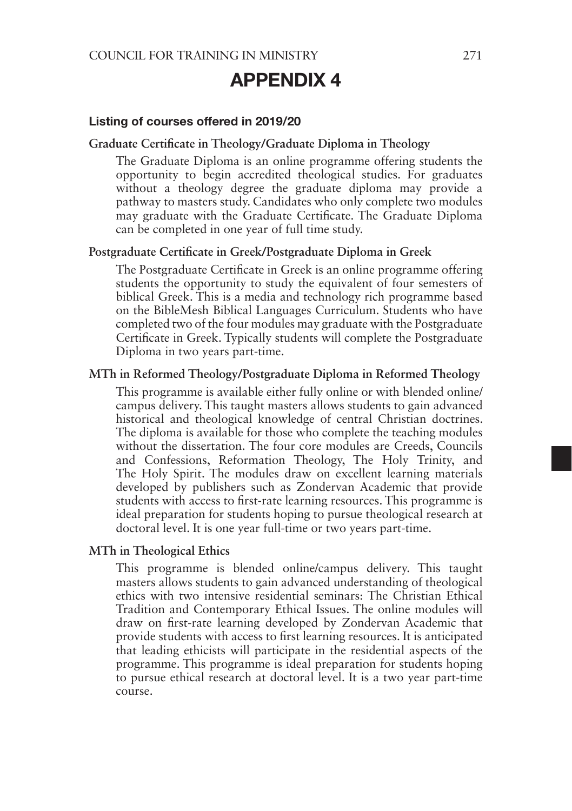## APPENDIX 4

#### Listing of courses offered in 2019/20

#### **Graduate Certificate in Theology/Graduate Diploma in Theology**

The Graduate Diploma is an online programme offering students the opportunity to begin accredited theological studies. For graduates without a theology degree the graduate diploma may provide a pathway to masters study. Candidates who only complete two modules may graduate with the Graduate Certificate. The Graduate Diploma can be completed in one year of full time study.

#### **Postgraduate Certificate in Greek/Postgraduate Diploma in Greek**

The Postgraduate Certificate in Greek is an online programme offering students the opportunity to study the equivalent of four semesters of biblical Greek. This is a media and technology rich programme based on the BibleMesh Biblical Languages Curriculum. Students who have completed two of the four modules may graduate with the Postgraduate Certificate in Greek. Typically students will complete the Postgraduate Diploma in two years part-time.

#### **MTh in Reformed Theology/Postgraduate Diploma in Reformed Theology**

This programme is available either fully online or with blended online/ campus delivery. This taught masters allows students to gain advanced historical and theological knowledge of central Christian doctrines. The diploma is available for those who complete the teaching modules without the dissertation. The four core modules are Creeds, Councils and Confessions, Reformation Theology, The Holy Trinity, and The Holy Spirit. The modules draw on excellent learning materials developed by publishers such as Zondervan Academic that provide students with access to first-rate learning resources. This programme is ideal preparation for students hoping to pursue theological research at doctoral level. It is one year full-time or two years part-time.

#### **MTh in Theological Ethics**

This programme is blended online/campus delivery. This taught masters allows students to gain advanced understanding of theological ethics with two intensive residential seminars: The Christian Ethical Tradition and Contemporary Ethical Issues. The online modules will draw on first-rate learning developed by Zondervan Academic that provide students with access to first learning resources. It is anticipated that leading ethicists will participate in the residential aspects of the programme. This programme is ideal preparation for students hoping to pursue ethical research at doctoral level. It is a two year part-time course.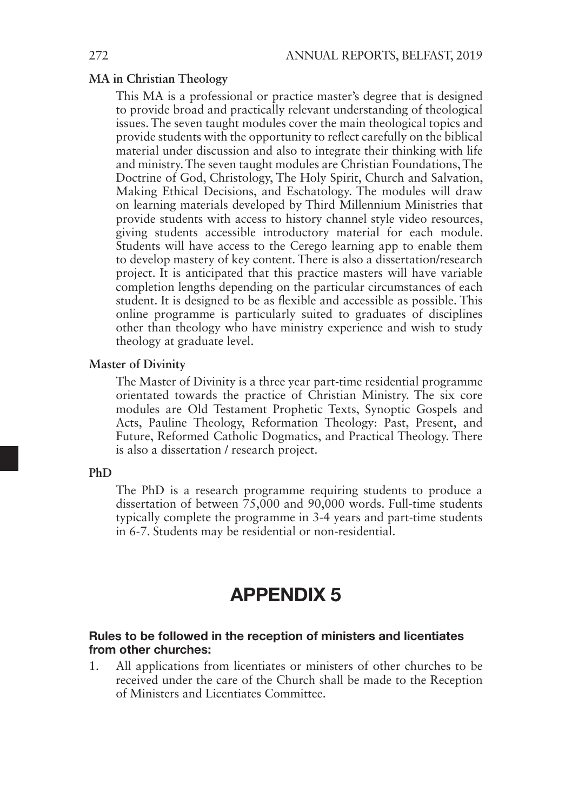#### **MA in Christian Theology**

This MA is a professional or practice master's degree that is designed to provide broad and practically relevant understanding of theological issues. The seven taught modules cover the main theological topics and provide students with the opportunity to reflect carefully on the biblical material under discussion and also to integrate their thinking with life and ministry. The seven taught modules are Christian Foundations, The Doctrine of God, Christology, The Holy Spirit, Church and Salvation, Making Ethical Decisions, and Eschatology. The modules will draw on learning materials developed by Third Millennium Ministries that provide students with access to history channel style video resources, giving students accessible introductory material for each module. Students will have access to the Cerego learning app to enable them to develop mastery of key content. There is also a dissertation/research project. It is anticipated that this practice masters will have variable completion lengths depending on the particular circumstances of each student. It is designed to be as flexible and accessible as possible. This online programme is particularly suited to graduates of disciplines other than theology who have ministry experience and wish to study theology at graduate level.

#### **Master of Divinity**

The Master of Divinity is a three year part-time residential programme orientated towards the practice of Christian Ministry. The six core modules are Old Testament Prophetic Texts, Synoptic Gospels and Acts, Pauline Theology, Reformation Theology: Past, Present, and Future, Reformed Catholic Dogmatics, and Practical Theology. There is also a dissertation / research project.

## **PhD**

The PhD is a research programme requiring students to produce a dissertation of between 75,000 and 90,000 words. Full-time students typically complete the programme in 3-4 years and part-time students in 6-7. Students may be residential or non-residential.

## APPENDIX 5

### Rules to be followed in the reception of ministers and licentiates from other churches:

1. All applications from licentiates or ministers of other churches to be received under the care of the Church shall be made to the Reception of Ministers and Licentiates Committee.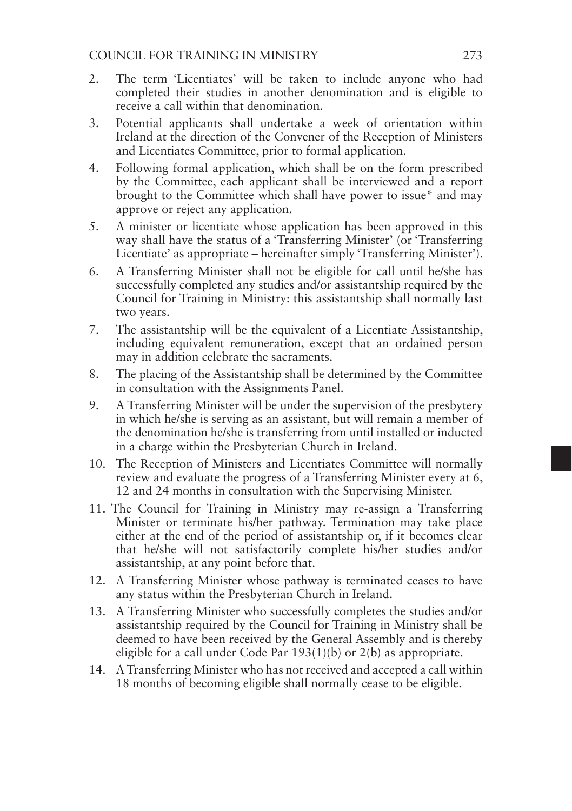## COUNCIL FOR TRAINING IN MINISTRY 273

- 2. The term 'Licentiates' will be taken to include anyone who had completed their studies in another denomination and is eligible to receive a call within that denomination.
- 3. Potential applicants shall undertake a week of orientation within Ireland at the direction of the Convener of the Reception of Ministers and Licentiates Committee, prior to formal application.
- 4. Following formal application, which shall be on the form prescribed by the Committee, each applicant shall be interviewed and a report brought to the Committee which shall have power to issue\* and may approve or reject any application.
- 5. A minister or licentiate whose application has been approved in this way shall have the status of a 'Transferring Minister' (or 'Transferring Licentiate' as appropriate – hereinafter simply 'Transferring Minister').
- 6. A Transferring Minister shall not be eligible for call until he/she has successfully completed any studies and/or assistantship required by the Council for Training in Ministry: this assistantship shall normally last two years.
- 7. The assistantship will be the equivalent of a Licentiate Assistantship, including equivalent remuneration, except that an ordained person may in addition celebrate the sacraments.
- 8. The placing of the Assistantship shall be determined by the Committee in consultation with the Assignments Panel.
- 9. A Transferring Minister will be under the supervision of the presbytery in which he/she is serving as an assistant, but will remain a member of the denomination he/she is transferring from until installed or inducted in a charge within the Presbyterian Church in Ireland.
- 10. The Reception of Ministers and Licentiates Committee will normally review and evaluate the progress of a Transferring Minister every at 6, 12 and 24 months in consultation with the Supervising Minister.
- 11. The Council for Training in Ministry may re-assign a Transferring Minister or terminate his/her pathway. Termination may take place either at the end of the period of assistantship or, if it becomes clear that he/she will not satisfactorily complete his/her studies and/or assistantship, at any point before that.
- 12. A Transferring Minister whose pathway is terminated ceases to have any status within the Presbyterian Church in Ireland.
- 13. A Transferring Minister who successfully completes the studies and/or assistantship required by the Council for Training in Ministry shall be deemed to have been received by the General Assembly and is thereby eligible for a call under Code Par 193(1)(b) or 2(b) as appropriate.
- 14. A Transferring Minister who has not received and accepted a call within 18 months of becoming eligible shall normally cease to be eligible.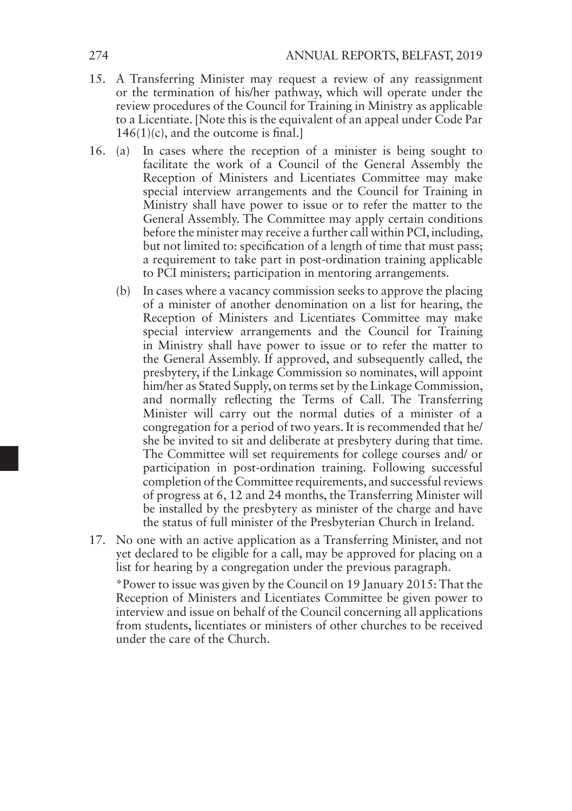- 15. A Transferring Minister may request a review of any reassignment or the termination of his/her pathway, which will operate under the review procedures of the Council for Training in Ministry as applicable to a Licentiate. [Note this is the equivalent of an appeal under Code Par 146(1)(c), and the outcome is final.]
- 16. (a) In cases where the reception of a minister is being sought to facilitate the work of a Council of the General Assembly the Reception of Ministers and Licentiates Committee may make special interview arrangements and the Council for Training in Ministry shall have power to issue or to refer the matter to the General Assembly. The Committee may apply certain conditions before the minister may receive a further call within PCI, including, but not limited to: specification of a length of time that must pass; a requirement to take part in post-ordination training applicable to PCI ministers; participation in mentoring arrangements.
	- (b) In cases where a vacancy commission seeks to approve the placing of a minister of another denomination on a list for hearing, the Reception of Ministers and Licentiates Committee may make special interview arrangements and the Council for Training in Ministry shall have power to issue or to refer the matter to the General Assembly. If approved, and subsequently called, the presbytery, if the Linkage Commission so nominates, will appoint him/her as Stated Supply, on terms set by the Linkage Commission, and normally reflecting the Terms of Call. The Transferring Minister will carry out the normal duties of a minister of a congregation for a period of two years. It is recommended that he/ she be invited to sit and deliberate at presbytery during that time. The Committee will set requirements for college courses and/ or participation in post-ordination training. Following successful completion of the Committee requirements, and successful reviews of progress at 6, 12 and 24 months, the Transferring Minister will be installed by the presbytery as minister of the charge and have the status of full minister of the Presbyterian Church in Ireland.
- 17. No one with an active application as a Transferring Minister, and not yet declared to be eligible for a call, may be approved for placing on a list for hearing by a congregation under the previous paragraph.

\*Power to issue was given by the Council on 19 January 2015: That the Reception of Ministers and Licentiates Committee be given power to interview and issue on behalf of the Council concerning all applications from students, licentiates or ministers of other churches to be received under the care of the Church.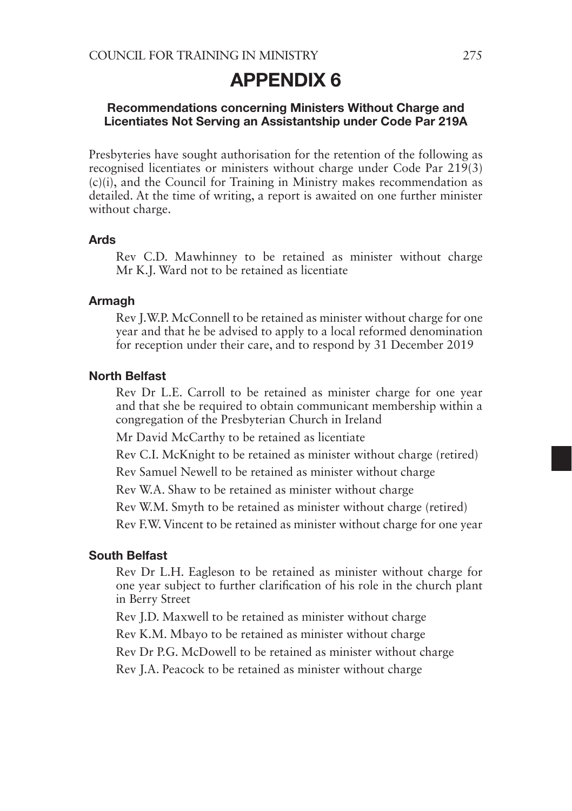## APPENDIX 6

### Recommendations concerning Ministers Without Charge and Licentiates Not Serving an Assistantship under Code Par 219A

Presbyteries have sought authorisation for the retention of the following as recognised licentiates or ministers without charge under Code Par 219(3) (c)(i), and the Council for Training in Ministry makes recommendation as detailed. At the time of writing, a report is awaited on one further minister without charge.

#### Ards

Rev C.D. Mawhinney to be retained as minister without charge Mr K.J. Ward not to be retained as licentiate

#### Armagh

Rev J.W.P. McConnell to be retained as minister without charge for one year and that he be advised to apply to a local reformed denomination for reception under their care, and to respond by 31 December 2019

## North Belfast

Rev Dr L.E. Carroll to be retained as minister charge for one year and that she be required to obtain communicant membership within a congregation of the Presbyterian Church in Ireland

Mr David McCarthy to be retained as licentiate

Rev C.I. McKnight to be retained as minister without charge (retired)

Rev Samuel Newell to be retained as minister without charge

Rev W.A. Shaw to be retained as minister without charge

Rev W.M. Smyth to be retained as minister without charge (retired)

Rev F.W. Vincent to be retained as minister without charge for one year

#### South Belfast

Rev Dr L.H. Eagleson to be retained as minister without charge for one year subject to further clarification of his role in the church plant in Berry Street

Rev J.D. Maxwell to be retained as minister without charge

Rev K.M. Mbayo to be retained as minister without charge

Rev Dr P.G. McDowell to be retained as minister without charge

Rev J.A. Peacock to be retained as minister without charge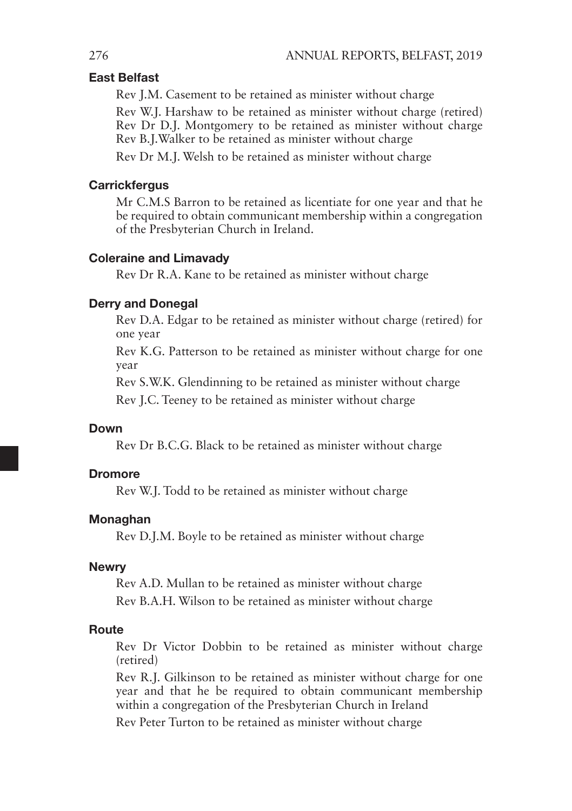## East Belfast

Rev J.M. Casement to be retained as minister without charge

Rev W.J. Harshaw to be retained as minister without charge (retired) Rev Dr D.J. Montgomery to be retained as minister without charge Rev B.J.Walker to be retained as minister without charge

Rev Dr M.J. Welsh to be retained as minister without charge

### **Carrickfergus**

Mr C.M.S Barron to be retained as licentiate for one year and that he be required to obtain communicant membership within a congregation of the Presbyterian Church in Ireland.

#### Coleraine and Limavady

Rev Dr R.A. Kane to be retained as minister without charge

#### Derry and Donegal

Rev D.A. Edgar to be retained as minister without charge (retired) for one year

Rev K.G. Patterson to be retained as minister without charge for one year

Rev S.W.K. Glendinning to be retained as minister without charge

Rev J.C. Teeney to be retained as minister without charge

## Down

Rev Dr B.C.G. Black to be retained as minister without charge

#### **Dromore**

Rev W.J. Todd to be retained as minister without charge

#### Monaghan

Rev D.J.M. Boyle to be retained as minister without charge

#### Newry

Rev A.D. Mullan to be retained as minister without charge Rev B.A.H. Wilson to be retained as minister without charge

#### Route

Rev Dr Victor Dobbin to be retained as minister without charge (retired)

Rev R.J. Gilkinson to be retained as minister without charge for one year and that he be required to obtain communicant membership within a congregation of the Presbyterian Church in Ireland

Rev Peter Turton to be retained as minister without charge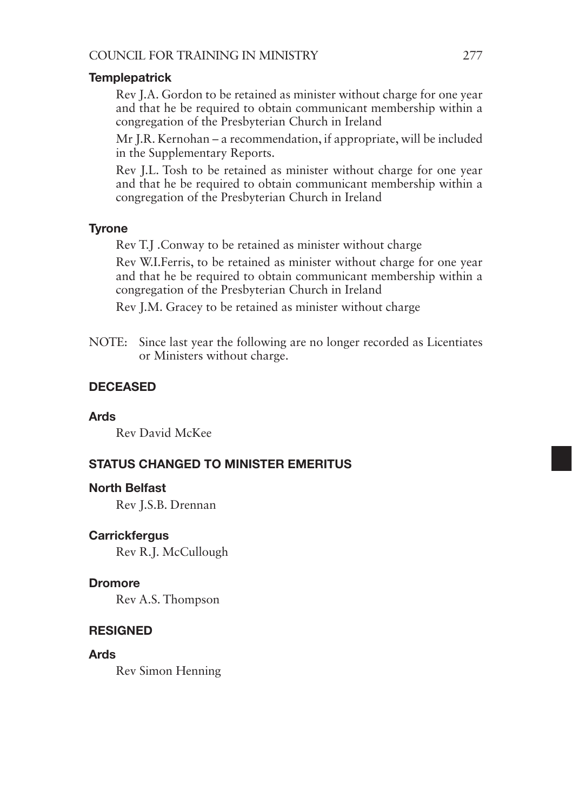## **Templepatrick**

Rev J.A. Gordon to be retained as minister without charge for one year and that he be required to obtain communicant membership within a congregation of the Presbyterian Church in Ireland

Mr J.R. Kernohan – a recommendation, if appropriate, will be included in the Supplementary Reports.

Rev J.L. Tosh to be retained as minister without charge for one year and that he be required to obtain communicant membership within a congregation of the Presbyterian Church in Ireland

## **Tyrone**

Rev T.J .Conway to be retained as minister without charge

Rev W.I.Ferris, to be retained as minister without charge for one year and that he be required to obtain communicant membership within a congregation of the Presbyterian Church in Ireland

Rev J.M. Gracey to be retained as minister without charge

NOTE: Since last year the following are no longer recorded as Licentiates or Ministers without charge.

## DECEASED

## Ards

Rev David McKee

## STATUS CHANGED TO MINISTER EMERITUS

### North Belfast

Rev J.S.B. Drennan

### **Carrickfergus**

Rev R.J. McCullough

### Dromore

Rev A.S. Thompson

## **RESIGNED**

Ards

Rev Simon Henning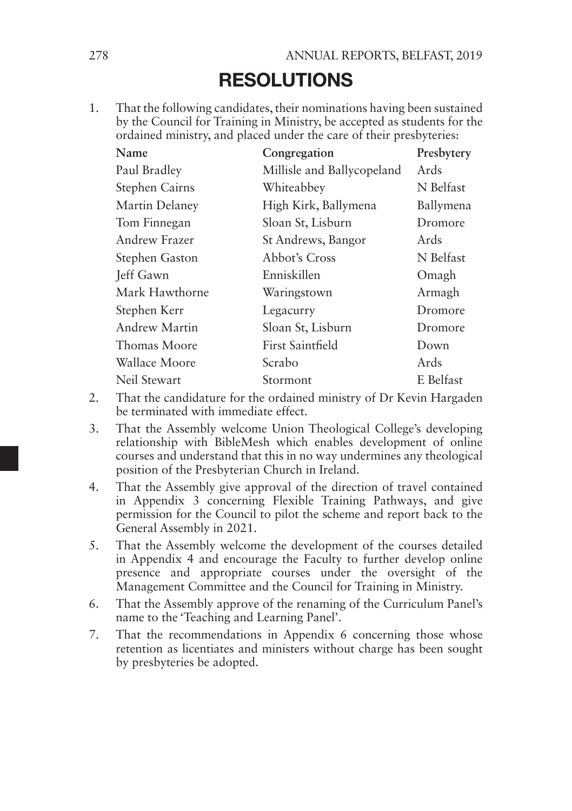## RESOLUTIONS

1. That the following candidates, their nominations having been sustained by the Council for Training in Ministry, be accepted as students for the ordained ministry, and placed under the care of their presbyteries:

| Name           | Congregation               | Presbytery |
|----------------|----------------------------|------------|
| Paul Bradley   | Millisle and Ballycopeland | Ards       |
| Stephen Cairns | Whiteabbey                 | N Belfast  |
| Martin Delaney | High Kirk, Ballymena       | Ballymena  |
| Tom Finnegan   | Sloan St, Lisburn          | Dromore    |
| Andrew Frazer  | St Andrews, Bangor         | Ards       |
| Stephen Gaston | Abbot's Cross              | N Belfast  |
| Jeff Gawn      | Enniskillen                | Omagh      |
| Mark Hawthorne | Waringstown                | Armagh     |
| Stephen Kerr   | Legacurry                  | Dromore    |
| Andrew Martin  | Sloan St, Lisburn          | Dromore    |
| Thomas Moore   | <b>First Saintfield</b>    | Down       |
| Wallace Moore  | Scrabo                     | Ards       |
| Neil Stewart   | Stormont                   | E Belfast  |

- 2. That the candidature for the ordained ministry of Dr Kevin Hargaden be terminated with immediate effect.
- 3. That the Assembly welcome Union Theological College's developing relationship with BibleMesh which enables development of online courses and understand that this in no way undermines any theological position of the Presbyterian Church in Ireland.
- 4. That the Assembly give approval of the direction of travel contained in Appendix 3 concerning Flexible Training Pathways, and give permission for the Council to pilot the scheme and report back to the General Assembly in 2021.
- 5. That the Assembly welcome the development of the courses detailed in Appendix 4 and encourage the Faculty to further develop online presence and appropriate courses under the oversight of the Management Committee and the Council for Training in Ministry.
- 6. That the Assembly approve of the renaming of the Curriculum Panel's name to the 'Teaching and Learning Panel'.
- 7. That the recommendations in Appendix 6 concerning those whose retention as licentiates and ministers without charge has been sought by presbyteries be adopted.